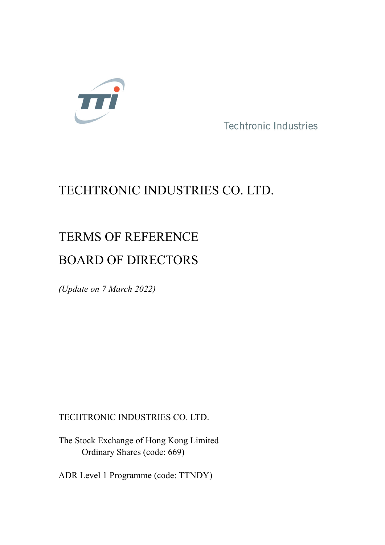

**Techtronic Industries** 

# TECHTRONIC INDUSTRIES CO. LTD.

# TERMS OF REFERENCE BOARD OF DIRECTORS

*(Update on 7 March 2022)*

TECHTRONIC INDUSTRIES CO. LTD.

The Stock Exchange of Hong Kong Limited Ordinary Shares (code: 669)

ADR Level 1 Programme (code: TTNDY)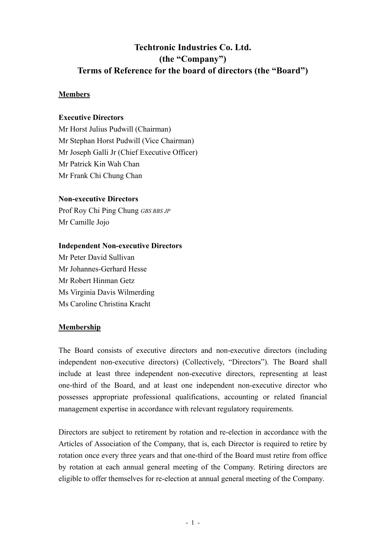# **Techtronic Industries Co. Ltd. (the "Company") Terms of Reference for the board of directors (the "Board")**

# **Members**

#### **Executive Directors**

Mr Horst Julius Pudwill (Chairman) Mr Stephan Horst Pudwill (Vice Chairman) Mr Joseph Galli Jr (Chief Executive Officer) Mr Patrick Kin Wah Chan Mr Frank Chi Chung Chan

#### **Non-executive Directors**

Prof Roy Chi Ping Chung *GBS BBS JP* Mr Camille Jojo

#### **Independent Non-executive Directors**

Mr Peter David Sullivan Mr Johannes-Gerhard Hesse Mr Robert Hinman Getz Ms Virginia Davis Wilmerding Ms Caroline Christina Kracht

# **Membership**

The Board consists of executive directors and non-executive directors (including independent non-executive directors) (Collectively, "Directors"). The Board shall include at least three independent non-executive directors, representing at least one-third of the Board, and at least one independent non-executive director who possesses appropriate professional qualifications, accounting or related financial management expertise in accordance with relevant regulatory requirements.

Directors are subject to retirement by rotation and re-election in accordance with the Articles of Association of the Company, that is, each Director is required to retire by rotation once every three years and that one-third of the Board must retire from office by rotation at each annual general meeting of the Company. Retiring directors are eligible to offer themselves for re-election at annual general meeting of the Company.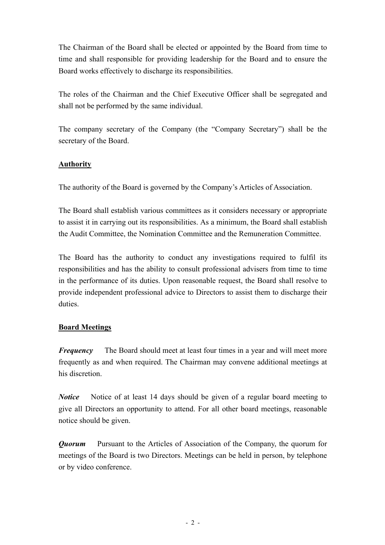The Chairman of the Board shall be elected or appointed by the Board from time to time and shall responsible for providing leadership for the Board and to ensure the Board works effectively to discharge its responsibilities.

The roles of the Chairman and the Chief Executive Officer shall be segregated and shall not be performed by the same individual.

The company secretary of the Company (the "Company Secretary") shall be the secretary of the Board.

# **Authority**

The authority of the Board is governed by the Company's Articles of Association.

The Board shall establish various committees as it considers necessary or appropriate to assist it in carrying out its responsibilities. As a minimum, the Board shall establish the Audit Committee, the Nomination Committee and the Remuneration Committee.

The Board has the authority to conduct any investigations required to fulfil its responsibilities and has the ability to consult professional advisers from time to time in the performance of its duties. Upon reasonable request, the Board shall resolve to provide independent professional advice to Directors to assist them to discharge their duties.

# **Board Meetings**

*Frequency* The Board should meet at least four times in a year and will meet more frequently as and when required. The Chairman may convene additional meetings at his discretion.

*Notice* Notice of at least 14 days should be given of a regular board meeting to give all Directors an opportunity to attend. For all other board meetings, reasonable notice should be given.

*Quorum* Pursuant to the Articles of Association of the Company, the quorum for meetings of the Board is two Directors. Meetings can be held in person, by telephone or by video conference.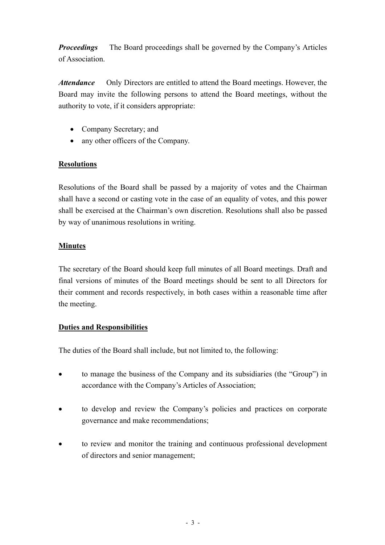*Proceedings* The Board proceedings shall be governed by the Company's Articles of Association.

*Attendance* Only Directors are entitled to attend the Board meetings. However, the Board may invite the following persons to attend the Board meetings, without the authority to vote, if it considers appropriate:

- Company Secretary; and
- any other officers of the Company.

# **Resolutions**

Resolutions of the Board shall be passed by a majority of votes and the Chairman shall have a second or casting vote in the case of an equality of votes, and this power shall be exercised at the Chairman's own discretion. Resolutions shall also be passed by way of unanimous resolutions in writing.

# **Minutes**

The secretary of the Board should keep full minutes of all Board meetings. Draft and final versions of minutes of the Board meetings should be sent to all Directors for their comment and records respectively, in both cases within a reasonable time after the meeting.

# **Duties and Responsibilities**

The duties of the Board shall include, but not limited to, the following:

- to manage the business of the Company and its subsidiaries (the "Group") in accordance with the Company's Articles of Association;
- to develop and review the Company's policies and practices on corporate governance and make recommendations;
- to review and monitor the training and continuous professional development of directors and senior management;